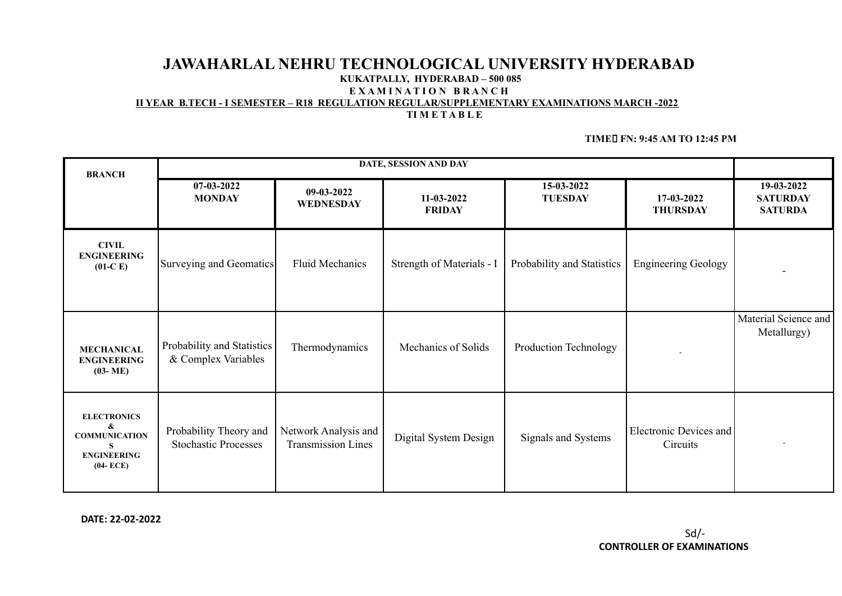# **JAWAHARLAL NEHRU TECHNOLOGICAL UNIVERSITY HYDERABAD**

#### **KUKATPALLY, HYDERABAD – 500 085**

**E X A M I N A T I O N B R A N C H**

**II YEAR B.TECH - I SEMESTER – R18 REGULATION REGULAR/SUPPLEMENTARY EXAMINATIONS MARCH -2022**

#### **TI M E T A B L E**

#### **TIME FN: 9:45 AM TO 12:45 PM**

| <b>BRANCH</b>                                                                              | DATE, SESSION AND DAY                                 |                                                   |                             |                              |                                           |                                                 |
|--------------------------------------------------------------------------------------------|-------------------------------------------------------|---------------------------------------------------|-----------------------------|------------------------------|-------------------------------------------|-------------------------------------------------|
|                                                                                            | 07-03-2022<br><b>MONDAY</b>                           | 09-03-2022<br><b>WEDNESDAY</b>                    | 11-03-2022<br><b>FRIDAY</b> | 15-03-2022<br><b>TUESDAY</b> | 17-03-2022<br><b>THURSDAY</b>             | 19-03-2022<br><b>SATURDAY</b><br><b>SATURDA</b> |
| <b>CIVIL</b><br><b>ENGINEERING</b><br>$(01-C)$                                             | Surveying and Geomatics                               | <b>Fluid Mechanics</b>                            | Strength of Materials - I   | Probability and Statistics   | <b>Engineering Geology</b>                |                                                 |
| <b>MECHANICAL</b><br><b>ENGINEERING</b><br>$(03 - ME)$                                     | Probability and Statistics<br>& Complex Variables     | Thermodynamics                                    | Mechanics of Solids         | Production Technology        |                                           | Material Science and<br>Metallurgy)             |
| <b>ELECTRONICS</b><br>&<br><b>COMMUNICATION</b><br>S<br><b>ENGINEERING</b><br>$(04 - ECE)$ | Probability Theory and<br><b>Stochastic Processes</b> | Network Analysis and<br><b>Transmission Lines</b> | Digital System Design       | Signals and Systems          | <b>Electronic Devices and</b><br>Circuits |                                                 |

**DATE: 22-02-2022**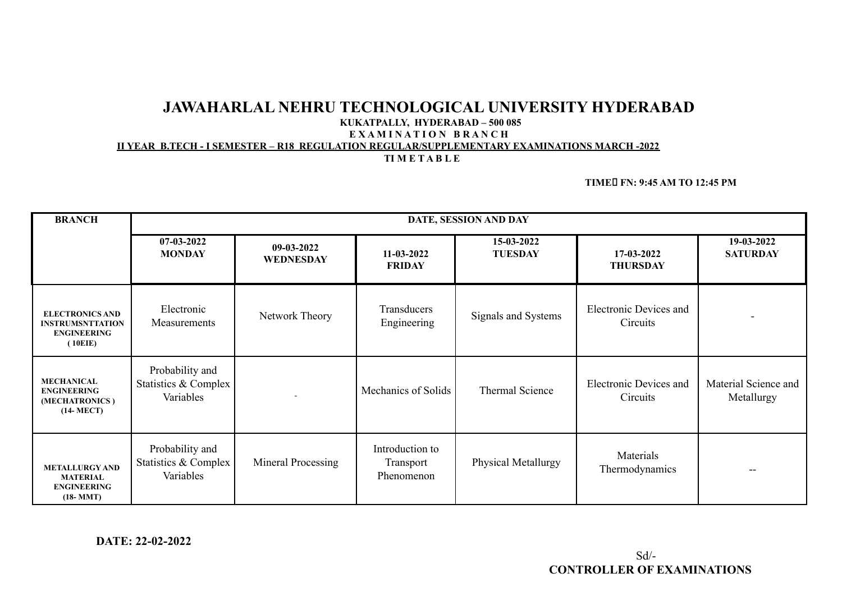# **JAWAHARLAL NEHRU TECHNOLOGICAL UNIVERSITY HYDERABAD**

# **KUKATPALLY, HYDERABAD – 500 085**

## **E X A M I N A T I O N B R A N C H**

### **II YEAR B.TECH - I SEMESTER – R18 REGULATION REGULAR/SUPPLEMENTARY EXAMINATIONS MARCH -2022**

#### **TI M E T A B L E**

#### **TIME FN: 9:45 AM TO 12:45 PM**

| <b>BRANCH</b>                                                                      | DATE, SESSION AND DAY                                |                           |                                            |                              |                                           |                                    |  |
|------------------------------------------------------------------------------------|------------------------------------------------------|---------------------------|--------------------------------------------|------------------------------|-------------------------------------------|------------------------------------|--|
|                                                                                    | 07-03-2022<br><b>MONDAY</b>                          | $09-03-2022$<br>WEDNESDAY | 11-03-2022<br><b>FRIDAY</b>                | 15-03-2022<br><b>TUESDAY</b> | $17-03-2022$<br><b>THURSDAY</b>           | 19-03-2022<br><b>SATURDAY</b>      |  |
| <b>ELECTRONICS AND</b><br><b>INSTRUMSNTTATION</b><br><b>ENGINEERING</b><br>(10EIE) | Electronic<br>Measurements                           | Network Theory            | Transducers<br>Engineering                 | Signals and Systems          | <b>Electronic Devices and</b><br>Circuits | $\overline{\phantom{0}}$           |  |
| <b>MECHANICAL</b><br><b>ENGINEERING</b><br>(MECHATRONICS)<br>$(14-MECT)$           | Probability and<br>Statistics & Complex<br>Variables |                           | Mechanics of Solids                        | <b>Thermal Science</b>       | <b>Electronic Devices and</b><br>Circuits | Material Science and<br>Metallurgy |  |
| <b>METALLURGY AND</b><br><b>MATERIAL</b><br><b>ENGINEERING</b><br>$(18-MMT)$       | Probability and<br>Statistics & Complex<br>Variables | Mineral Processing        | Introduction to<br>Transport<br>Phenomenon | Physical Metallurgy          | Materials<br>Thermodynamics               | $\overline{\phantom{m}}$           |  |

**DATE: 22-02-2022**